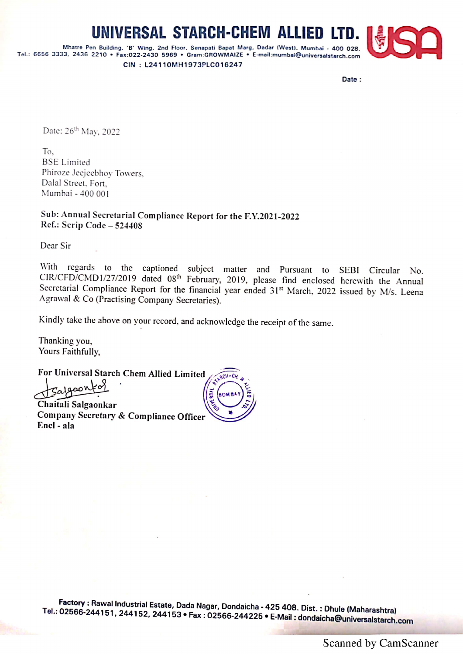## UNIVERSAL STARCH-CHEM ALLIED

Mhatre Pen Building, 'B' Wing, 2nd Floor, Senapati Bapat Marg, Dadar (West), Mumbai - 400 028.<br>Tel.: 6656 3333, 2436 2210 • Fax:022-2430 5969 • Gram:GROWMAIZE • E-mail:mumbai@universalstarch.com CIN : L24110MH1973PLC016247



Date:

Date: 26" May, 2022

To. BSE Limited Phiroze Jeejeebhoy Towers. Dalal Street. Fort. Mumbai - 400 001

Sub: Annual Secretarial Compliance Report for the F.Y.2021-2022 Ref.: Scrip Code — <sup>524408</sup>

Dear Sir

With regards to the captioned subject matter and Pursuant to SEBI Circular No.<br>CIR/CFD/CMD1/27/2019 dated 08<sup>th</sup> February, 2019, please find enclosed herewith the Annual<br>Secretarial Compliance Report for the financial year

Kindly take the above on your record, and acknowledge the receipt of the same.

Thanking you, Yours Faithfully,

For Universal Starch Chem Allied Limited

**nov** 

Chaitali Salgaonkar Company Secretary & Compliance Officer Encl - ala

Tel.: Factory : Rawal Industrial Estate, Dada Nagar, Dondaicha - 425 408. Dist. : Dhule (Maharashtra) 8. Dist. : Dhule (Maharas<br>: dondaicha@universals<br>. : dondaicha@universalstarch.com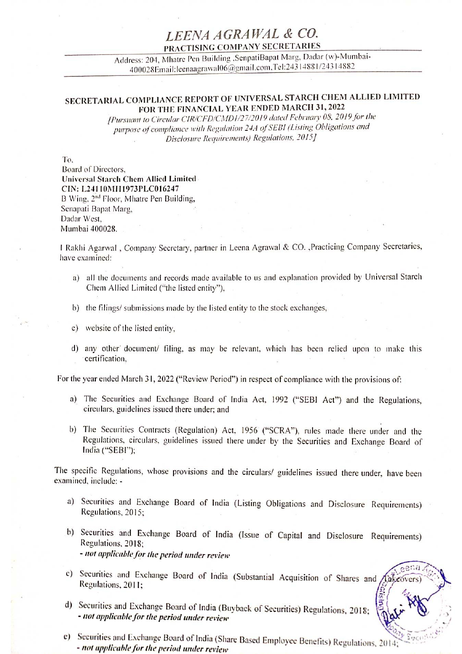## LEENA AGRAWAL & CO.<br>PRACTISING COMPANY SECRETARIES

Address: 204, Mhatre Pen Building , SenpatiBapat Marg, Dadar (w)-Mumbai<sup>a</sup>6 mail.com, Tel:243 1488 1/243 14882 400028Email:leenaagrawal06@g

## SECRETARIAL COMPLIANCE REPORT OF UNIVERSAL STARCH CHEM ALLIED LIMITED FOR THE FINANCIAL YEAR ENDED MARCH 31, 2022

[Pursuant to Circular CIR/CF D/CMD 1/27/2019 dated February 08. 201 9 for the purpose of compliance with Regulation 244 of SEBI (Listing Obligations and Disclosure Requirements) Regulations, 2015]

To.

Board of Directors, Universal Starch Chem Allied Limited CIN: L24110MH1973PLC016247 B Wing, 2<sup>nd</sup> Floor, Mhatre Pen Building, Senapati Bapat Marg, Dadar West, Mumbai 400028.

| Rakhi Agarwal , Company Secretary, partner in Leena Agrawal & CO. ,Practicing Company Secretaries, have examined:

- a) all the documents and records made available to us and explanation provided by Universal Starch Chem Allied Limited ("the listed entity"),
- b) the filings/ submissions made by the listed entity to the stock exchanges,
- c) website of the listed entity,
- d) any other' document/ filing, as may be relevant, which has been relied upon to make this certification,

For the year ended March 31, 2022 ("Review Period") in respect of compliance with the provisions of:

- a) The Securities and Exchange Board of India Act, 1992 ("SEBI Act") and the Regulations, circulars, guidelines issued there under; and
- b) The Securities Contracts (Regulation) Act, 1956 ("SCRA"), rules made there under and the Regulations, circulars, guidelines issued there under by the Securities and Exchange Board of India ("SEBI");

The specific Regulations, whose provisions and the circulars/ guidelines issued there under, have been examined, include: -

- a) Securities and Exchange Board of India (Listing Obligations and Disclosure Requirements) Regulations, 2015;
- b) Securities and Exchange Board of India (Issue of Capital and Disclosure Requirements) Regulations, 2018; - not applicable for the period under review
- c) Securities and Exchange Board of India (Substantial Acquisition of Shares and fakeo Regulations, 2011:
- d) Securities and Exchange Board of India (Buyback of Securities) Regulations, 2018;<br>- not applicable for the period under review
- uyback of Securities) Regulations, 2018;<br>re Based Employee Benefits) Regulations, 2014; e) Securities and Exchange Board of India (Share Based Employee Benefits) Regulations, 2014<br>- not applicable for the period under review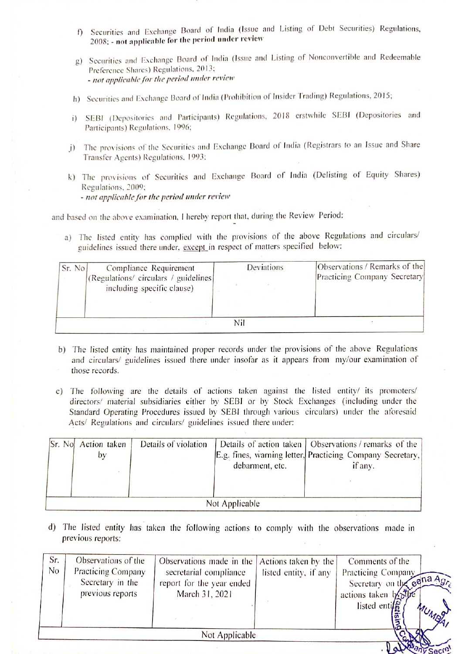- f) Securities and Exchange Board of India (Issue and Listing of Debt Securities) Regulations, 2008: - not applicable for the period under review
- 2) Securities and Exchange Board of India (Issue and Listing of Nonconvertible and Redeemable Preference Shares) Regulations, 2013; - not applicable for the period under review
- h) Securities and Exchange Board of India (Prohibition of Insider Trading) Regulations, 2015;
- i) SEBI (Depositories and Participants) Regulations, 2018 erstwhile SEBI (Depositories and Participants) Regulations, 1996;
- i) The provisions of the Securities and Exchange Board of India (Registrars to an Issue and Share Transfer Agents) Regulations, 1993:
- k) The provisions of Securities and Exchange Board of India (Delisting of Equity Shares) Regulations, 2009; - not applicable for the period under review f) Securities and Exchange Board of India (2008; - not applicable for the period under r<br>g) Securities and Exchange Board of India (Is:<br>Preference Shares) Regulations, 2013;<br>*- not applicable for the period under review*<br>

| Sr. No | Compliance Requirement<br>(Regulations/ circulars / guidelines)<br>including specific clause) | Deviations | Observations / Remarks of the<br>Practicing Company Secretary |
|--------|-----------------------------------------------------------------------------------------------|------------|---------------------------------------------------------------|
|        |                                                                                               | Nil        |                                                               |

- b) The listed entity has maintained proper records under the provisions of the above Regulations and circulars/ guidelines issued there under insofar as it appears from my/our examination of those records.
- c) The following are the details of actions taken against the listed entity/ its promoters/ directors' material subsidiaries either by SEBI or by Stock Exchanges (including under the Standard Operating Procedures issued by SEBI through various circulars) under the aforesaid Acts/ Regulations and circulars/ guidelines issued there under:

|                                   |                                                      | - погаррисате јог не региоа инаст себем<br>and based on the above examination, I hereby report that, during the Review Period:<br>guidelines issued there under, except in respect of matters specified below: |                |                                            | a) The listed entity has complied with the provisions of the above Regulations and circulars/                                                                                                                                                                                                                                                                                          |
|-----------------------------------|------------------------------------------------------|----------------------------------------------------------------------------------------------------------------------------------------------------------------------------------------------------------------|----------------|--------------------------------------------|----------------------------------------------------------------------------------------------------------------------------------------------------------------------------------------------------------------------------------------------------------------------------------------------------------------------------------------------------------------------------------------|
| Sr. No                            | Compliance Requirement<br>including specific clause) | (Regulations/ circulars / guidelines                                                                                                                                                                           |                | Deviations                                 | Observations / Remarks of the<br>Practicing Company Secretary                                                                                                                                                                                                                                                                                                                          |
|                                   |                                                      |                                                                                                                                                                                                                | Nil            |                                            |                                                                                                                                                                                                                                                                                                                                                                                        |
|                                   |                                                      |                                                                                                                                                                                                                |                |                                            |                                                                                                                                                                                                                                                                                                                                                                                        |
| $\mathcal{C}$ )                   | those records.                                       | Acts/ Regulations and circulars/ guidelines issued there under:                                                                                                                                                |                |                                            | and circulars/ guidelines issued there under insofar as it appears from my/our examination of<br>The following are the details of actions taken against the listed entity/ its promoters/<br>directors/ material subsidiaries either by SEBI or by Stock Exchanges (including under the<br>Standard Operating Procedures issued by SEBI through various circulars) under the aforesaid |
| Sr. No Action taken               | by                                                   | Details of violation                                                                                                                                                                                           |                | Details of action taken<br>debarment, etc. | Observations / remarks of the<br>E.g. fines, warning letter, Practicing Company Secretary,<br>if any.                                                                                                                                                                                                                                                                                  |
|                                   |                                                      |                                                                                                                                                                                                                | Not Applicable |                                            |                                                                                                                                                                                                                                                                                                                                                                                        |
| $\mathbf{d}$<br>previous reports: |                                                      |                                                                                                                                                                                                                |                |                                            | The listed entity has taken the following actions to comply with the observations made in                                                                                                                                                                                                                                                                                              |
| Sr.<br>No                         | Observations of the<br><b>Practicing Company</b>     | Observations made in the<br>secretarial compliance                                                                                                                                                             |                | Actions taken by the                       | Comments of the<br>listed entity, if any Departicing Company                                                                                                                                                                                                                                                                                                                           |

| f)<br>2008; - not applicable for the period under review                                                                                                                                                                                                                                                                                                                    |                                                                                                                                                                                     |                |                                            |  | Securities and Exchange Board of India (Issue and Listing of Debt Securities) Regulations,            |            |  |  |  |  |  |
|-----------------------------------------------------------------------------------------------------------------------------------------------------------------------------------------------------------------------------------------------------------------------------------------------------------------------------------------------------------------------------|-------------------------------------------------------------------------------------------------------------------------------------------------------------------------------------|----------------|--------------------------------------------|--|-------------------------------------------------------------------------------------------------------|------------|--|--|--|--|--|
| g)                                                                                                                                                                                                                                                                                                                                                                          | Securities and Exchange Board of India (Issue and Listing of Nonconvertible and Redeemable<br>Preference Shares) Regulations, 2013;<br>- not applicable for the period under review |                |                                            |  |                                                                                                       |            |  |  |  |  |  |
| Securities and Exchange Board of India (Prohibition of Insider Trading) Regulations, 2015;<br>$\ln$                                                                                                                                                                                                                                                                         |                                                                                                                                                                                     |                |                                            |  |                                                                                                       |            |  |  |  |  |  |
| i)                                                                                                                                                                                                                                                                                                                                                                          | SEBI (Depositories and Participants) Regulations, 2018 erstwhile SEBI (Depositories and<br>Participants) Regulations, 1996;                                                         |                |                                            |  |                                                                                                       |            |  |  |  |  |  |
| j)                                                                                                                                                                                                                                                                                                                                                                          | The provisions of the Securities and Exchange Board of India (Registrars to an Issue and Share<br>Transfer Agents) Regulations, 1993;                                               |                |                                            |  |                                                                                                       |            |  |  |  |  |  |
| k) The provisions of Securities and Exchange Board of India (Delisting of Equity Shares)<br>Regulations, 2009;                                                                                                                                                                                                                                                              |                                                                                                                                                                                     |                |                                            |  |                                                                                                       |            |  |  |  |  |  |
| - not applicable for the period under review                                                                                                                                                                                                                                                                                                                                |                                                                                                                                                                                     |                |                                            |  |                                                                                                       |            |  |  |  |  |  |
| and based on the above examination, I hereby report that, during the Review Period:                                                                                                                                                                                                                                                                                         |                                                                                                                                                                                     |                |                                            |  |                                                                                                       |            |  |  |  |  |  |
| a) The listed entity has complied with the provisions of the above Regulations and circulars/<br>guidelines issued there under, except in respect of matters specified below:                                                                                                                                                                                               |                                                                                                                                                                                     |                |                                            |  |                                                                                                       |            |  |  |  |  |  |
| Compliance Requirement<br>Sr. No<br>(Regulations/ circulars / guidelines<br>including specific clause)                                                                                                                                                                                                                                                                      |                                                                                                                                                                                     |                | Deviations                                 |  | Observations / Remarks of the<br>Practicing Company Secretary                                         |            |  |  |  |  |  |
|                                                                                                                                                                                                                                                                                                                                                                             |                                                                                                                                                                                     | Nil            |                                            |  |                                                                                                       |            |  |  |  |  |  |
| b) The listed entity has maintained proper records under the provisions of the above Regulations<br>and circulars/ guidelines issued there under insofar as it appears from my/our examination of<br>those records.                                                                                                                                                         |                                                                                                                                                                                     |                |                                            |  |                                                                                                       |            |  |  |  |  |  |
| The following are the details of actions taken against the listed entity/ its promoters/<br>$\mathcal{C}$ )<br>directors/ material subsidiaries either by SEBI or by Stock Exchanges (including under the<br>Standard Operating Procedures issued by SEBI through various circulars) under the aforesaid<br>Acts/ Regulations and circulars/ guidelines issued there under: |                                                                                                                                                                                     |                |                                            |  |                                                                                                       |            |  |  |  |  |  |
| Sr. No Action taken<br>by                                                                                                                                                                                                                                                                                                                                                   | Details of violation                                                                                                                                                                |                | Details of action taken<br>debarment, etc. |  | Observations / remarks of the<br>E.g. fines, warning letter, Practicing Company Secretary,<br>if any. |            |  |  |  |  |  |
|                                                                                                                                                                                                                                                                                                                                                                             |                                                                                                                                                                                     |                |                                            |  |                                                                                                       |            |  |  |  |  |  |
| Not Applicable                                                                                                                                                                                                                                                                                                                                                              |                                                                                                                                                                                     |                |                                            |  |                                                                                                       |            |  |  |  |  |  |
| The listed entity has taken the following actions to comply with the observations made in<br>$\mathbf{d}$<br>previous reports:                                                                                                                                                                                                                                              |                                                                                                                                                                                     |                |                                            |  |                                                                                                       |            |  |  |  |  |  |
| Sr.<br>Observations of the                                                                                                                                                                                                                                                                                                                                                  | Observations made in the                                                                                                                                                            |                | Actions taken by the                       |  | Comments of the                                                                                       |            |  |  |  |  |  |
| No<br>Practicing Company<br>Secretary in the                                                                                                                                                                                                                                                                                                                                | secretarial compliance<br>report for the year ended                                                                                                                                 |                | listed entity, if any                      |  | Practicing Company                                                                                    |            |  |  |  |  |  |
| previous reports                                                                                                                                                                                                                                                                                                                                                            | March 31, 2021                                                                                                                                                                      |                |                                            |  | Secretary on the cena Agr <sub>e</sub><br>actions taken by other<br>listed entif $\frac{1}{2}$        |            |  |  |  |  |  |
|                                                                                                                                                                                                                                                                                                                                                                             |                                                                                                                                                                                     |                |                                            |  | ising                                                                                                 | MUMBA      |  |  |  |  |  |
|                                                                                                                                                                                                                                                                                                                                                                             |                                                                                                                                                                                     | Not Applicable |                                            |  |                                                                                                       |            |  |  |  |  |  |
|                                                                                                                                                                                                                                                                                                                                                                             |                                                                                                                                                                                     |                |                                            |  |                                                                                                       | any Secre! |  |  |  |  |  |